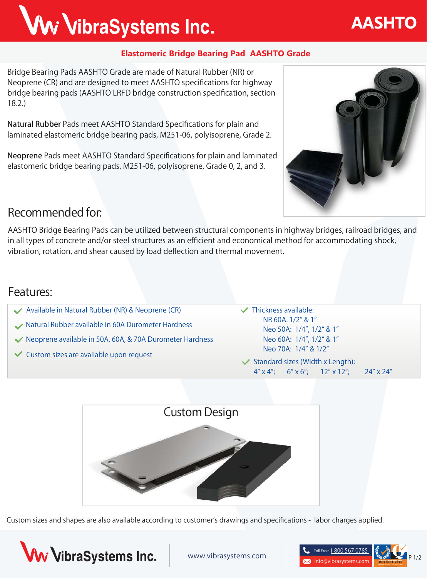## **Elastomeric Bridge Bearing Pad AASHTO Grade**

**Bridge Bearing Pads AASHTO Grade** are made of Natural Rubber (NR) or Neoprene (CR) and are designed to meet AASHTO specifications for highway bridge bearing pads (AASHTO LRFD bridge construction specification, section 18.2.)

Ww VibraSystems Inc.

Natural Rubber Pads meet AASHTO Standard Specifications for plain and laminated elastomeric bridge bearing pads, M251-06, polyisoprene, Grade 2.

Neoprene Pads meet AASHTO Standard Specifications for plain and laminated elastomeric bridge bearing pads, M251-06, polyisoprene, Grade 0, 2, and 3.



**AASHTO**

### **Recommended for:**

AASHTO Bridge Bearing Pads can be utilized between structural components in highway bridges, railroad bridges, and in all types of concrete and/or steel structures as an efficient and economical method for accommodating shock, vibration, rotation, and shear caused by load deflection and thermal movement.

### **Features:**

- **Available in Natural Rubber (NR) & Neoprene (CR)**
- **Natural Rubber available in 60A Durometer Hardness**
- **Neoprene available in 50A, 60A, & 70A Durometer Hardness**
- **Custom sizes are available upon request**

**Thickness available: NR 60A: 1/2" & 1" Neo 50A: 1/4", 1/2" & 1" Neo 60A: 1/4", 1/2" & 1" Neo 70A: 1/4" & 1/2"**

**Standard sizes (Width x Length): 4" x 4"; 6" x 6"; 12" x 12"; 24" x 24"**



Custom sizes and shapes are also available according to customer's drawings and specifications - labor charges applied.